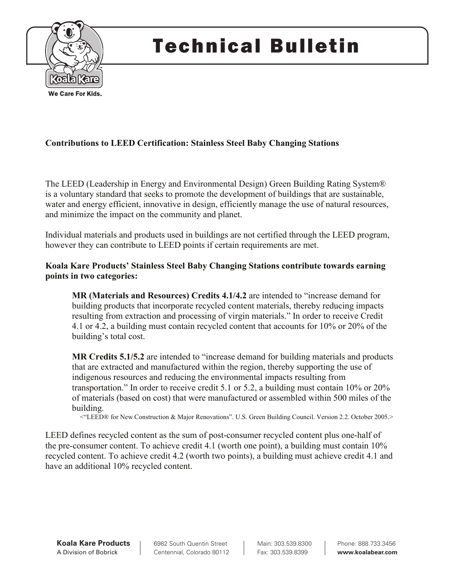

# Technical Bulletin

# **Contributions to LEED Certification: Stainless Steel Baby Changing Stations**

The LEED (Leadership in Energy and Environmental Design) Green Building Rating System® is a voluntary standard that seeks to promote the development of buildings that are sustainable, water and energy efficient, innovative in design, efficiently manage the use of natural resources, and minimize the impact on the community and planet.

Individual materials and products used in buildings are not certified through the LEED program, however they can contribute to LEED points if certain requirements are met.

## **Koala Kare Products' Stainless Steel Baby Changing Stations contribute towards earning points in two categories:**

**MR (Materials and Resources) Credits 4.1/4.2** are intended to "increase demand for building products that incorporate recycled content materials, thereby reducing impacts resulting from extraction and processing of virgin materials." In order to receive Credit 4.1 or 4.2, a building must contain recycled content that accounts for 10% or 20% of the building's total cost.

**MR Credits 5.1/5.2** are intended to "increase demand for building materials and products that are extracted and manufactured within the region, thereby supporting the use of indigenous resources and reducing the environmental impacts resulting from transportation." In order to receive credit 5.1 or 5.2, a building must contain 10% or 20% of materials (based on cost) that were manufactured or assembled within 500 miles of the building.

<"LEED® for New Construction & Major Renovations". U.S. Green Building Council. Version 2.2. October 2005.>

LEED defines recycled content as the sum of post-consumer recycled content plus one-half of the pre-consumer content. To achieve credit 4.1 (worth one point), a building must contain 10% recycled content. To achieve credit 4.2 (worth two points), a building must achieve credit 4.1 and have an additional 10% recycled content.